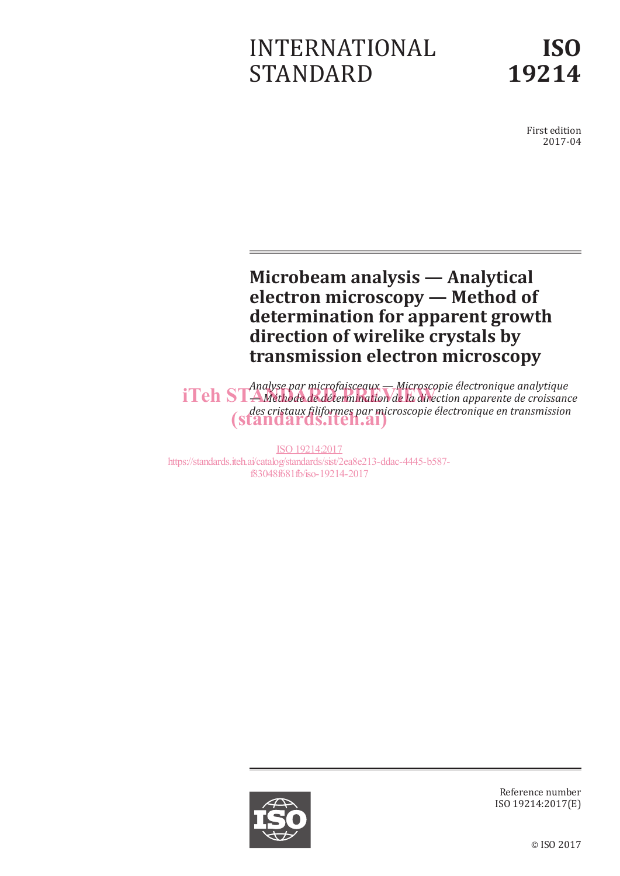# INTERNATIONAL STANDARD

First edition 2017-04

# **Microbeam analysis — Analytical electron microscopy — Method of determination for apparent growth direction of wirelike crystals by transmission electron microscopy**

*Analyse par microfaisceaux — Microscopie électronique analytique*  **iTeh ST**Analyse par microjalsceaux — Microscopie electronique analytique<br>**iTeh ST**AMéthode de détermination de la direction apparente de croissance *des cristaux filiformes par microscopie électronique en transmission* (standards.iteh.ai)

ISO 19214:2017 https://standards.iteh.ai/catalog/standards/sist/2ea8e213-ddac-4445-b587 f83048f681fb/iso-19214-2017



Reference number ISO 19214:2017(E)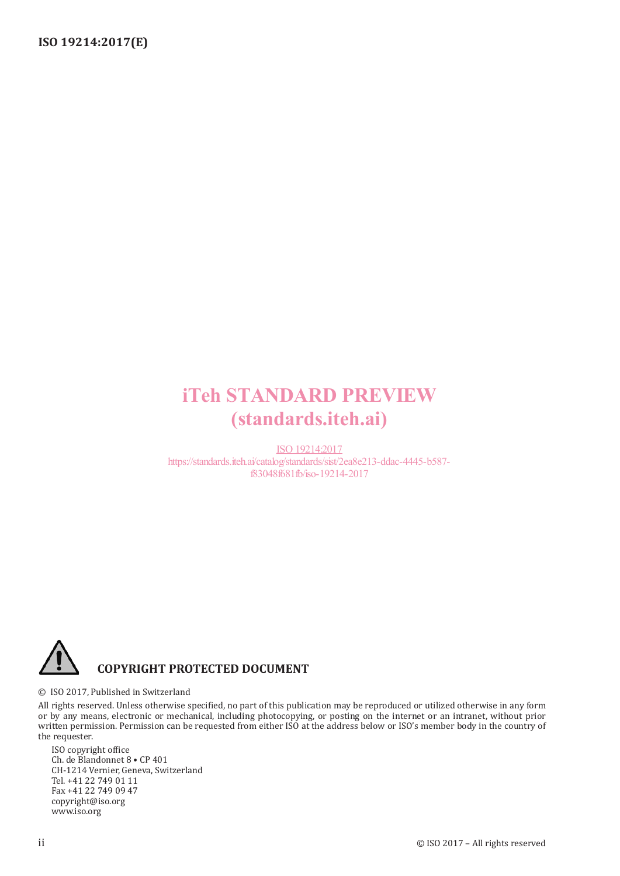# iTeh STANDARD PREVIEW (standards.iteh.ai)

ISO 19214:2017 https://standards.iteh.ai/catalog/standards/sist/2ea8e213-ddac-4445-b587 f83048f681fb/iso-19214-2017



#### © ISO 2017, Published in Switzerland

All rights reserved. Unless otherwise specified, no part of this publication may be reproduced or utilized otherwise in any form or by any means, electronic or mechanical, including photocopying, or posting on the internet or an intranet, without prior written permission. Permission can be requested from either ISO at the address below or ISO's member body in the country of the requester.

ISO copyright office Ch. de Blandonnet 8 • CP 401 CH-1214 Vernier, Geneva, Switzerland Tel. +41 22 749 01 11 Fax +41 22 749 09 47 copyright@iso.org www.iso.org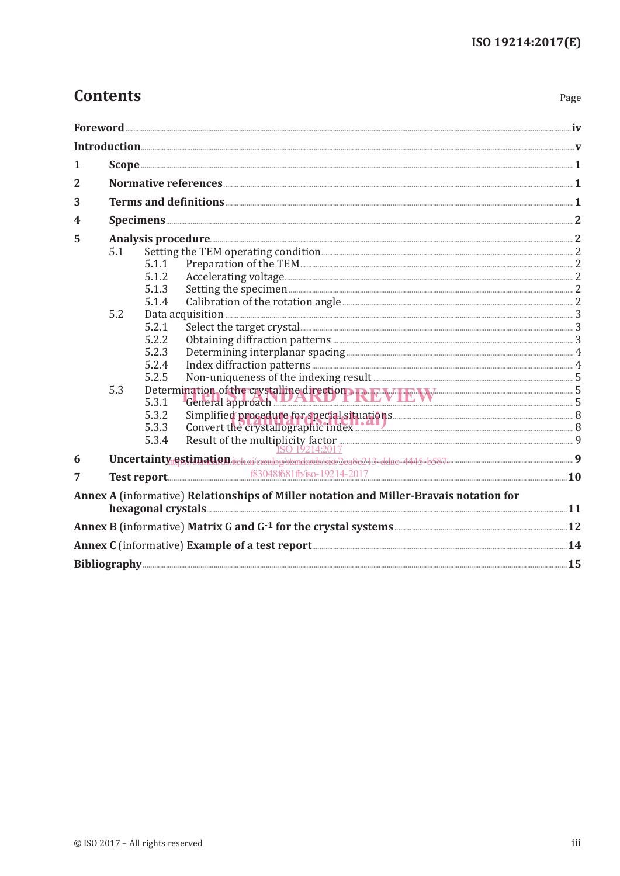Page

# **Contents**

| 1                                                                                                                              | $\textbf{Scope} \texttt{} \texttt{} \texttt{} \texttt{} \texttt{} \texttt{} \texttt{} \texttt{} \texttt{} \texttt{} \texttt{} \texttt{} \texttt{} \texttt{} \texttt{} \texttt{} \texttt{} \texttt{} \texttt{} \texttt{} \texttt{} \texttt{} \texttt{} \texttt{} \texttt{} \texttt{} \texttt{} \texttt{} \texttt{} \texttt{} \texttt{} \texttt{} \texttt{} \texttt{} \texttt{} \texttt{$ |                |                                                                                                                                              |  |
|--------------------------------------------------------------------------------------------------------------------------------|-----------------------------------------------------------------------------------------------------------------------------------------------------------------------------------------------------------------------------------------------------------------------------------------------------------------------------------------------------------------------------------------|----------------|----------------------------------------------------------------------------------------------------------------------------------------------|--|
| $\overline{2}$                                                                                                                 |                                                                                                                                                                                                                                                                                                                                                                                         |                |                                                                                                                                              |  |
|                                                                                                                                |                                                                                                                                                                                                                                                                                                                                                                                         |                |                                                                                                                                              |  |
| 3                                                                                                                              |                                                                                                                                                                                                                                                                                                                                                                                         |                |                                                                                                                                              |  |
| 4                                                                                                                              |                                                                                                                                                                                                                                                                                                                                                                                         |                |                                                                                                                                              |  |
| 5                                                                                                                              | Analysis procedure 22 and 2015 12 and 2017 12 and 2017 12 and 2018 12 and 2018 12 and 2018 12 and 2018 12 and 2018 12 and 2018 12 and 2018 12 and 2018 12 and 2018 12 and 2019 12 and 2019 12 and 2019 12 and 2019 12 and 2019                                                                                                                                                          |                |                                                                                                                                              |  |
|                                                                                                                                | 5.1                                                                                                                                                                                                                                                                                                                                                                                     |                |                                                                                                                                              |  |
|                                                                                                                                |                                                                                                                                                                                                                                                                                                                                                                                         | 5.1.1          |                                                                                                                                              |  |
|                                                                                                                                |                                                                                                                                                                                                                                                                                                                                                                                         | 5.1.2          |                                                                                                                                              |  |
|                                                                                                                                |                                                                                                                                                                                                                                                                                                                                                                                         | 5.1.3          |                                                                                                                                              |  |
|                                                                                                                                |                                                                                                                                                                                                                                                                                                                                                                                         | 5.1.4          |                                                                                                                                              |  |
|                                                                                                                                | 5.2                                                                                                                                                                                                                                                                                                                                                                                     |                |                                                                                                                                              |  |
|                                                                                                                                |                                                                                                                                                                                                                                                                                                                                                                                         | 5.2.1<br>5.2.2 |                                                                                                                                              |  |
|                                                                                                                                |                                                                                                                                                                                                                                                                                                                                                                                         | 5.2.3          | Obtaining diffraction patterns <b>Manual Manual Community</b> 3<br>Determining interplanar spacing <b>Election Controller and American</b> 4 |  |
|                                                                                                                                |                                                                                                                                                                                                                                                                                                                                                                                         | 5.2.4          |                                                                                                                                              |  |
|                                                                                                                                |                                                                                                                                                                                                                                                                                                                                                                                         | 5.2.5          |                                                                                                                                              |  |
|                                                                                                                                | 5.3                                                                                                                                                                                                                                                                                                                                                                                     |                |                                                                                                                                              |  |
|                                                                                                                                |                                                                                                                                                                                                                                                                                                                                                                                         |                | Determination of the crystalline direction<br>5.3.1 General approach                                                                         |  |
|                                                                                                                                |                                                                                                                                                                                                                                                                                                                                                                                         | 5.3.2          |                                                                                                                                              |  |
|                                                                                                                                |                                                                                                                                                                                                                                                                                                                                                                                         | 5.3.3          | Simplified procedure for special situations                                                                                                  |  |
|                                                                                                                                |                                                                                                                                                                                                                                                                                                                                                                                         | 5.3.4          |                                                                                                                                              |  |
| 6                                                                                                                              |                                                                                                                                                                                                                                                                                                                                                                                         |                |                                                                                                                                              |  |
|                                                                                                                                | Uncertainty estimation the haileand and architecture of the state of the state of the state of the state of the state of the state of the state of the state of the state of the state of the state of the state of the state                                                                                                                                                           |                |                                                                                                                                              |  |
| 7                                                                                                                              |                                                                                                                                                                                                                                                                                                                                                                                         |                |                                                                                                                                              |  |
| Annex A (informative) Relationships of Miller notation and Miller-Bravais notation for                                         |                                                                                                                                                                                                                                                                                                                                                                                         |                |                                                                                                                                              |  |
|                                                                                                                                |                                                                                                                                                                                                                                                                                                                                                                                         |                |                                                                                                                                              |  |
| Annex B (informative) Matrix G and G <sup>-1</sup> for the crystal systems <b>Engineeral Strutter and Tana and Strutter</b> 12 |                                                                                                                                                                                                                                                                                                                                                                                         |                |                                                                                                                                              |  |
|                                                                                                                                |                                                                                                                                                                                                                                                                                                                                                                                         |                |                                                                                                                                              |  |
|                                                                                                                                |                                                                                                                                                                                                                                                                                                                                                                                         |                |                                                                                                                                              |  |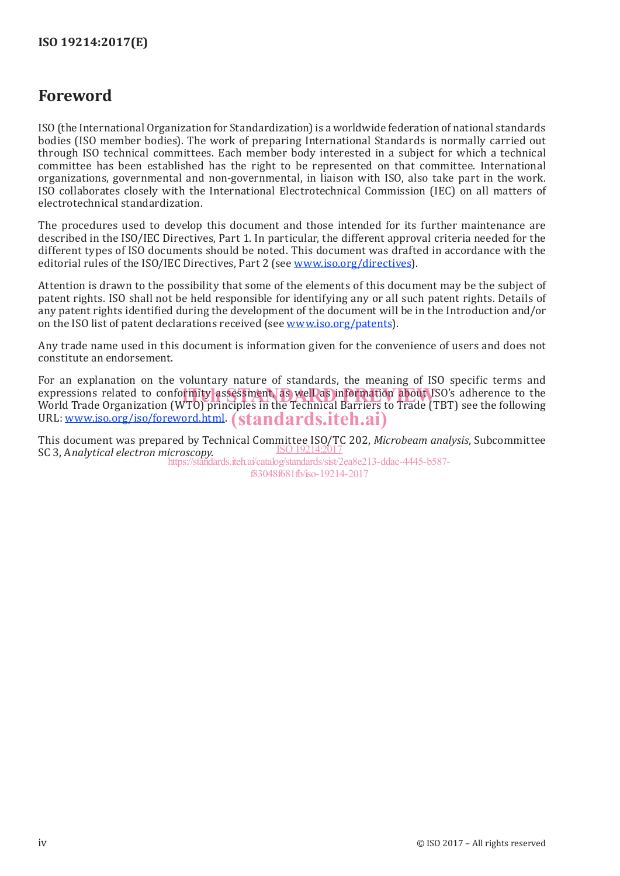## **Foreword**

ISO (the International Organization for Standardization) is a worldwide federation of national standards bodies (ISO member bodies). The work of preparing International Standards is normally carried out through ISO technical committees. Each member body interested in a subject for which a technical committee has been established has the right to be represented on that committee. International organizations, governmental and non-governmental, in liaison with ISO, also take part in the work. ISO collaborates closely with the International Electrotechnical Commission (IEC) on all matters of electrotechnical standardization.

The procedures used to develop this document and those intended for its further maintenance are described in the ISO/IEC Directives, Part 1. In particular, the different approval criteria needed for the different types of ISO documents should be noted. This document was drafted in accordance with the editorial rules of the ISO/IEC Directives, Part 2 (see www.iso.org/directives).

Attention is drawn to the possibility that some of the elements of this document may be the subject of patent rights. ISO shall not be held responsible for identifying any or all such patent rights. Details of any patent rights identified during the development of the document will be in the Introduction and/or on the ISO list of patent declarations received (see www.iso.org/patents).

Any trade name used in this document is information given for the convenience of users and does not constitute an endorsement.

For an explanation on the voluntary nature of standards, the meaning of ISO specific terms and expressions related to conformity assessment, as well as information about ISO's adherence to the<br>World Trade Organization (WTO) principles in the Technical Barriers to Trade (TBT) see the following World Trade Organization (WTO) principles in the Technical Barriers to Trade (TBT) see the following URL: <u>www.iso.org/iso/foreword.html</u>. (standards.iteh.ai)

This document was prepared by Technical Committee ISO/TC 202, *Microbeam analysis*, Subcommittee SC 3, A*nalytical electron microscopy*.  $\overline{1}$ SO

https://standards.iteh.ai/catalog/standards/sist/2ea8e213-ddac-4445-b587 f83048f681fb/iso-19214-2017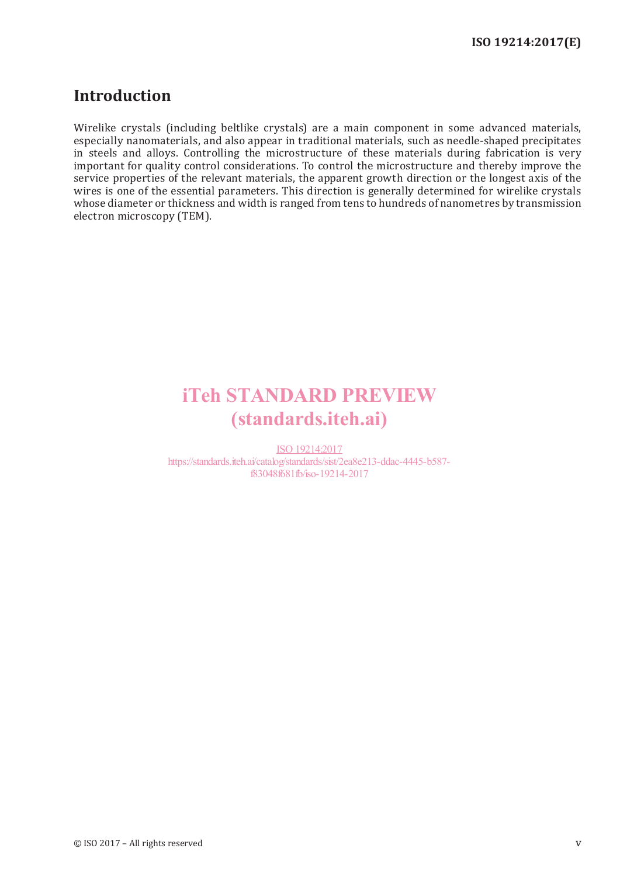## **Introduction**

Wirelike crystals (including beltlike crystals) are a main component in some advanced materials, especially nanomaterials, and also appear in traditional materials, such as needle-shaped precipitates in steels and alloys. Controlling the microstructure of these materials during fabrication is very important for quality control considerations. To control the microstructure and thereby improve the service properties of the relevant materials, the apparent growth direction or the longest axis of the wires is one of the essential parameters. This direction is generally determined for wirelike crystals whose diameter or thickness and width is ranged from tens to hundreds of nanometres by transmission electron microscopy (TEM).

# iTeh STANDARD PREVIEW (standards.iteh.ai)

ISO 19214:2017 https://standards.iteh.ai/catalog/standards/sist/2ea8e213-ddac-4445-b587 f83048f681fb/iso-19214-2017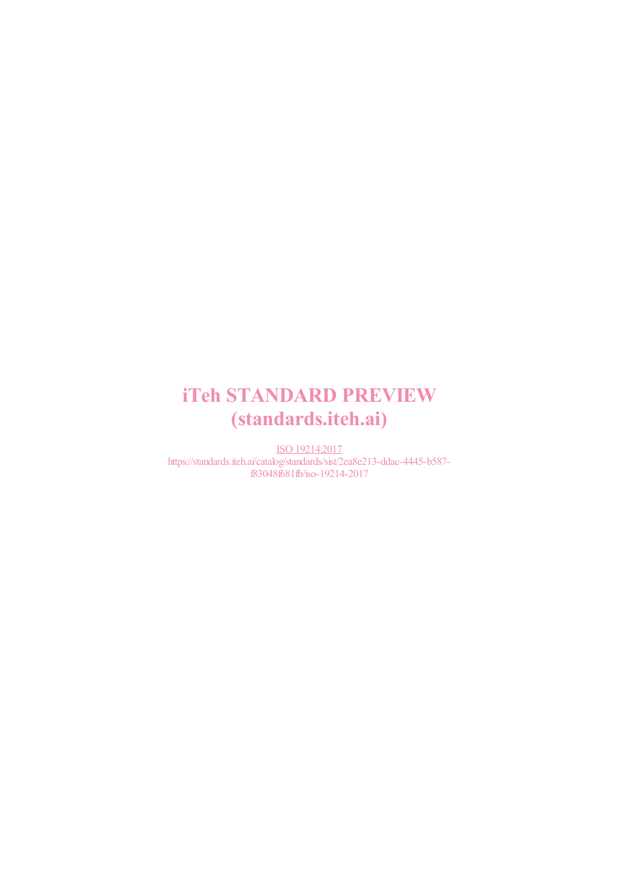# iTeh STANDARD PREVIEW (standards.iteh.ai)

ISO 19214:2017 https://standards.iteh.ai/catalog/standards/sist/2ea8e213-ddac-4445-b587 f83048f681fb/iso-19214-2017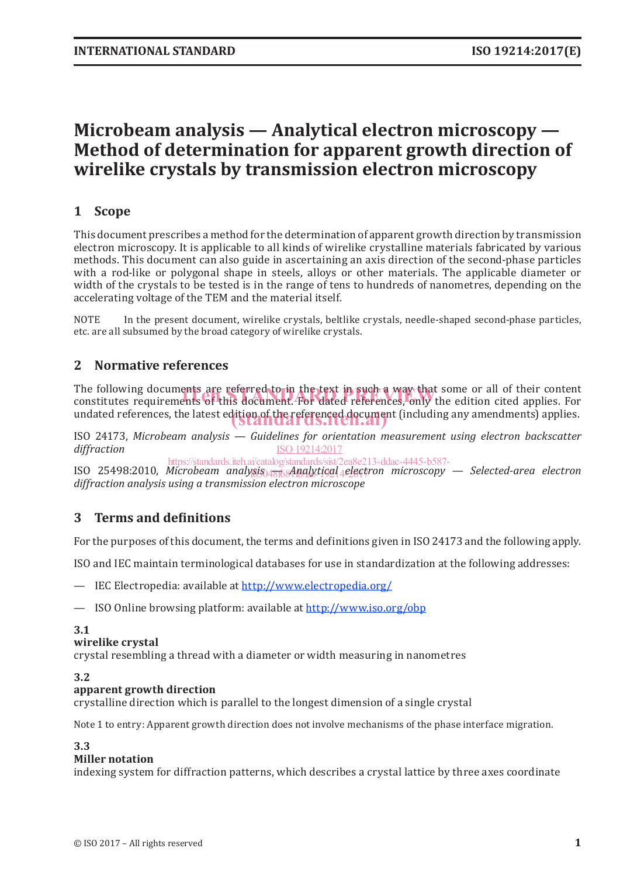## **Microbeam analysis — Analytical electron microscopy — Method of determination for apparent growth direction of wirelike crystals by transmission electron microscopy**

## **1 Scope**

This document prescribes a method for the determination of apparent growth direction by transmission electron microscopy. It is applicable to all kinds of wirelike crystalline materials fabricated by various methods. This document can also guide in ascertaining an axis direction of the second-phase particles with a rod-like or polygonal shape in steels, alloys or other materials. The applicable diameter or width of the crystals to be tested is in the range of tens to hundreds of nanometres, depending on the accelerating voltage of the TEM and the material itself.

NOTE In the present document, wirelike crystals, beltlike crystals, needle-shaped second-phase particles, etc. are all subsumed by the broad category of wirelike crystals.

## **2 Normative references**

The following documents are referred to in the text in such a way that some or all of their content The following documents are referred to in the text in such a way that some or all of their content<br>constitutes requirements of this document. For dated references, only the edition cited applies. For undated references, the latest edition of the referenced document (including any amendments) applies.

ISO 24173, *Microbeam analysis — Guidelines for orientation measurement using electron backscatter diffraction* ISO 19214:2017

ISO 25498:2010, Microbeam analysis<sub>048f68</sub>Analytical<sub>4</sub>electron microscopy — Selected-area electron *diffraction analysis using a transmission electron microscope* https://standards.iteh.ai/catalog/standards/sist/2ea8e213-ddac-4445-b587-

## **3 Terms and definitions**

For the purposes of this document, the terms and definitions given in ISO 24173 and the following apply.

ISO and IEC maintain terminological databases for use in standardization at the following addresses:

- IEC Electropedia: available at http://www.electropedia.org/
- ISO Online browsing platform: available at http://www.iso.org/obp

### **3.1**

### **wirelike crystal**

crystal resembling a thread with a diameter or width measuring in nanometres

## **3.2**

### **apparent growth direction**

crystalline direction which is parallel to the longest dimension of a single crystal

Note 1 to entry: Apparent growth direction does not involve mechanisms of the phase interface migration.

## **3.3**

## **Miller notation**

indexing system for diffraction patterns, which describes a crystal lattice by three axes coordinate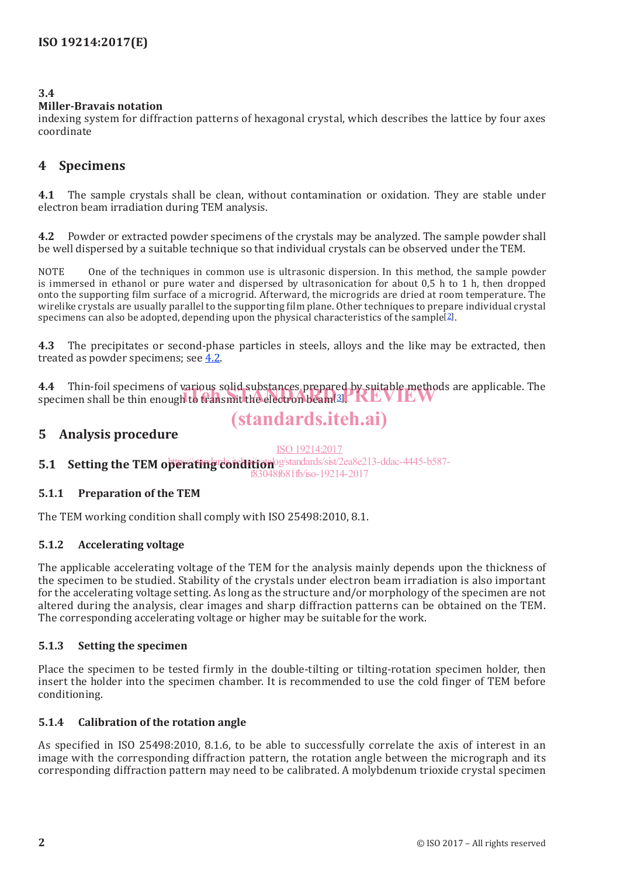## **3.4**

## **Miller-Bravais notation**

indexing system for diffraction patterns of hexagonal crystal, which describes the lattice by four axes coordinate

## **4 Specimens**

**4.1** The sample crystals shall be clean, without contamination or oxidation. They are stable under electron beam irradiation during TEM analysis.

**4.2** Powder or extracted powder specimens of the crystals may be analyzed. The sample powder shall be well dispersed by a suitable technique so that individual crystals can be observed under the TEM.

NOTE One of the techniques in common use is ultrasonic dispersion. In this method, the sample powder is immersed in ethanol or pure water and dispersed by ultrasonication for about 0,5 h to 1 h, then dropped onto the supporting film surface of a microgrid. Afterward, the microgrids are dried at room temperature. The wirelike crystals are usually parallel to the supporting film plane. Other techniques to prepare individual crystal specimens can also be adopted, depending upon the physical characteristics of the sample<sup>[2]</sup>.

**4.3** The precipitates or second-phase particles in steels, alloys and the like may be extracted, then treated as powder specimens; see 4.2.

**4.4** Thin-foil specimens of various solid substances prepared by suitable methods are applicable. The 4.4 Thin-foil specimens of various solid substances prepared by suitable methods<br>specimen shall be thin enough to transmit the electron beam[3]. The UVEW

## (standards.iteh.ai)

## **5 Analysis procedure**

ISO 19214:2017

**5.1 Setting the TEM operating condition**  $\cos\alpha$  and  $\sin\beta$  and  $\cos\beta$  and  $\cos\beta$ f83048f681fb/iso-19214-2017

# **5.1.1 Preparation of the TEM**

The TEM working condition shall comply with ISO 25498:2010, 8.1.

## **5.1.2 Accelerating voltage**

The applicable accelerating voltage of the TEM for the analysis mainly depends upon the thickness of the specimen to be studied. Stability of the crystals under electron beam irradiation is also important for the accelerating voltage setting. As long as the structure and/or morphology of the specimen are not altered during the analysis, clear images and sharp diffraction patterns can be obtained on the TEM. The corresponding accelerating voltage or higher may be suitable for the work.

## **5.1.3 Setting the specimen**

Place the specimen to be tested firmly in the double-tilting or tilting-rotation specimen holder, then insert the holder into the specimen chamber. It is recommended to use the cold finger of TEM before conditioning.

## **5.1.4 Calibration of the rotation angle**

As specified in ISO 25498:2010, 8.1.6, to be able to successfully correlate the axis of interest in an image with the corresponding diffraction pattern, the rotation angle between the micrograph and its corresponding diffraction pattern may need to be calibrated. A molybdenum trioxide crystal specimen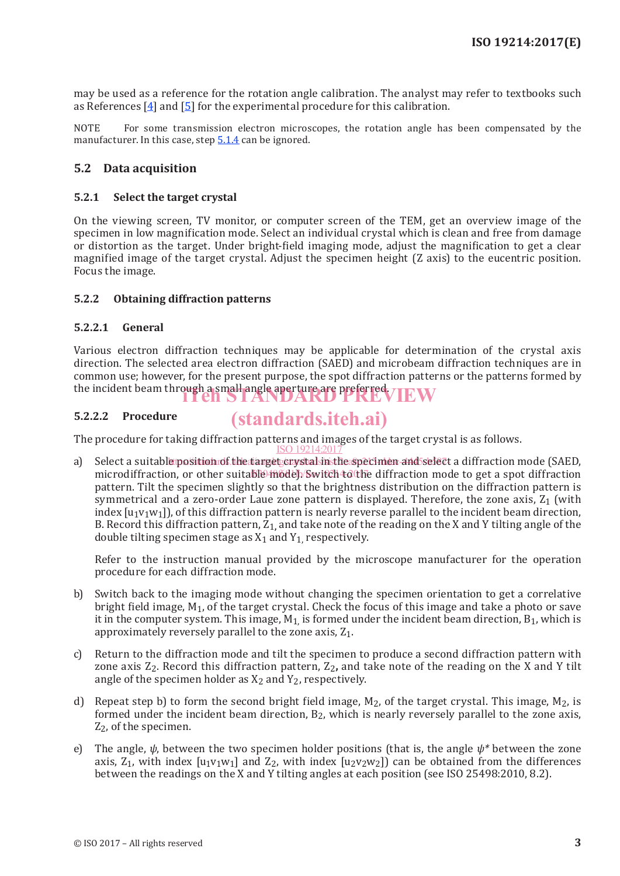may be used as a reference for the rotation angle calibration. The analyst may refer to textbooks such as References  $[4]$  and  $[5]$  for the experimental procedure for this calibration.

NOTE For some transmission electron microscopes, the rotation angle has been compensated by the manufacturer. In this case, step 5.1.4 can be ignored.

## **5.2 Data acquisition**

### **5.2.1 Select the target crystal**

On the viewing screen, TV monitor, or computer screen of the TEM, get an overview image of the specimen in low magnification mode. Select an individual crystal which is clean and free from damage or distortion as the target. Under bright-field imaging mode, adjust the magnification to get a clear magnified image of the target crystal. Adjust the specimen height (Z axis) to the eucentric position. Focus the image.

## **5.2.2 Obtaining diffraction patterns**

## **5.2.2.1 General**

Various electron diffraction techniques may be applicable for determination of the crystal axis direction. The selected area electron diffraction (SAED) and microbeam diffraction techniques are in common use; however, for the present purpose, the spot diffraction patterns or the patterns formed by the incident beam through a small angle aperture are preferred.<br>**ITEH STANDARD PREVIEW** 

## **5.2.2.2 Procedure**

# (standards.iteh.ai)

The procedure for taking diffraction patterns and images of the target crystal is as follows. ISO 19214:2017

a) Select a suitable position of the target crystal in the specimen and select a diffraction mode (SAED, microdiffraction, or other suitable mode). Switch to the diffraction mode to get a spot diffraction pattern. Tilt the specimen slightly so that the brightness distribution on the diffraction pattern is symmetrical and a zero-order Laue zone pattern is displayed. Therefore, the zone axis,  $Z_1$  (with index  $[u_1v_1w_1]$ , of this diffraction pattern is nearly reverse parallel to the incident beam direction, B. Record this diffraction pattern,  $Z_1$  and take note of the reading on the X and Y tilting angle of the double tilting specimen stage as  $X_1$  and  $Y_1$ , respectively.

Refer to the instruction manual provided by the microscope manufacturer for the operation procedure for each diffraction mode.

- b) Switch back to the imaging mode without changing the specimen orientation to get a correlative bright field image,  $M_1$ , of the target crystal. Check the focus of this image and take a photo or save it in the computer system. This image,  $M_1$  is formed under the incident beam direction,  $B_1$ , which is approximately reversely parallel to the zone axis, Z1.
- c) Return to the diffraction mode and tilt the specimen to produce a second diffraction pattern with zone axis Z2. Record this diffraction pattern, Z2**,** and take note of the reading on the X and Y tilt angle of the specimen holder as  $X_2$  and  $Y_2$ , respectively.
- d) Repeat step b) to form the second bright field image,  $M_2$ , of the target crystal. This image,  $M_2$ , is formed under the incident beam direction,  $B_2$ , which is nearly reversely parallel to the zone axis, Z<sub>2</sub>, of the specimen.
- e) The angle, *ψ*, between the two specimen holder positions (that is, the angle *ψ\** between the zone axis,  $Z_1$ , with index  $[u_1v_1w_1]$  and  $Z_2$ , with index  $[u_2v_2w_2]$  can be obtained from the differences between the readings on the X and Y tilting angles at each position (see ISO 25498:2010, 8.2).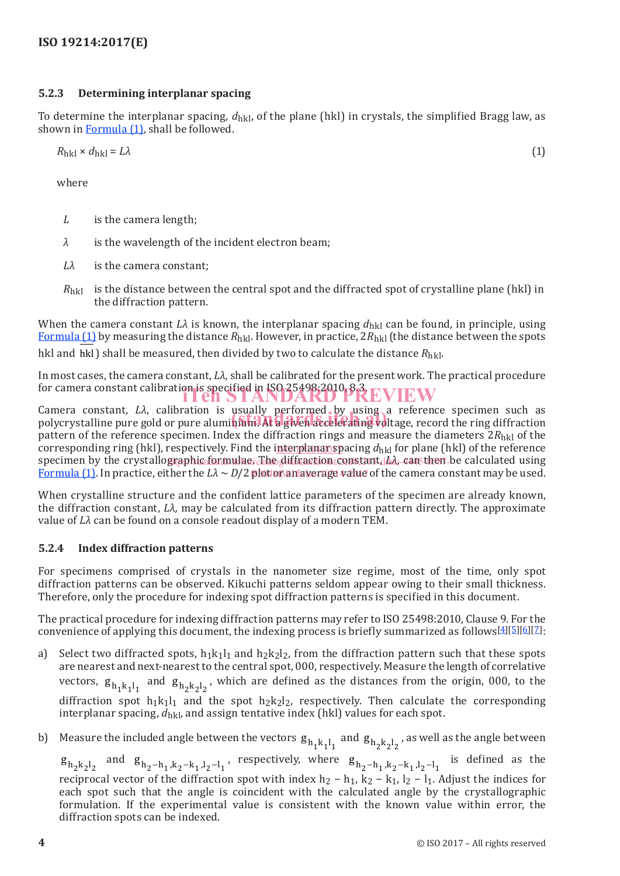## **5.2.3 Determining interplanar spacing**

To determine the interplanar spacing,  $d_{hkl}$ , of the plane (hkl) in crystals, the simplified Bragg law, as shown in Formula (1), shall be followed.

 $R_{hkl} \times d_{hkl} = L\lambda$  (1)

where

- *L* is the camera length;
- *λ* is the wavelength of the incident electron beam;
- *Lλ* is the camera constant;
- $R_{hkl}$  is the distance between the central spot and the diffracted spot of crystalline plane (hkl) in the diffraction pattern.

When the camera constant *L* $\lambda$  is known, the interplanar spacing  $d_{hkl}$  can be found, in principle, using Formula (1) by measuring the distance  $R_{hkl}$ . However, in practice,  $2R_{hkl}$  (the distance between the spots hkl and hkl) shall be measured, then divided by two to calculate the distance  $R_{hkl}$ .

In most cases, the camera constant, *Lλ,* shall be calibrated for the present work. The practical procedure for camera constant calibration is specified in ISO 25498.2010 PREVIEW

Camera constant, *Lλ*, calibration is usually performed by using a reference specimen such as Lamera constant, *LA*, calibration is usually performed by using a reference specimen such as<br>polycrystalline pure gold or pure aluminium. At a given accelerating voltage, record the ring diffraction pattern of the reference specimen. Index the diffraction rings and measure the diameters  $2R_{hkl}$  of the corresponding ring (hkl), respectively. Find the interplanar spacing  $d_{hkl}$  for plane (hkl) of the reference specimen by the crystallographic formulae. The diffraction constant, *LA*, can then be calculated using <mark>Formula (1)</mark>. In practice, either the *Lλ* ∼ *D*/2 plot or an average value of the camera constant may be used.

When crystalline structure and the confident lattice parameters of the specimen are already known, the diffraction constant, *Lλ,* may be calculated from its diffraction pattern directly. The approximate value of *Lλ* can be found on a console readout display of a modern TEM.

## **5.2.4 Index diffraction patterns**

For specimens comprised of crystals in the nanometer size regime, most of the time, only spot diffraction patterns can be observed. Kikuchi patterns seldom appear owing to their small thickness. Therefore, only the procedure for indexing spot diffraction patterns is specified in this document.

The practical procedure for indexing diffraction patterns may refer to ISO 25498:2010, Clause 9. For the convenience of applying this document, the indexing process is briefly summarized as follows[4][5][6][7]:

- a) Select two diffracted spots,  $h_1k_1l_1$  and  $h_2k_2l_2$ , from the diffraction pattern such that these spots are nearest and next-nearest to the central spot, 000, respectively. Measure the length of correlative vectors,  $g_{h_1k_1l_1}$  and  $g_{h_2k_2l_2}$ , which are defined as the distances from the origin, 000, to the diffraction spot  $h_1k_1l_1$  and the spot  $h_2k_2l_2$ , respectively. Then calculate the corresponding interplanar spacing,  $d_{hkl}$ , and assign tentative index (hkl) values for each spot.
- b) Measure the included angle between the vectors  $g_{h_1k_1l_1}$  and  $g_{h_2k_2l_2}$  , as well as the angle between

 $g_{h_2k_2l_2}$  and  $g_{h_2-h_1,k_2-k_1,l_2-l_1}$ , respectively, where  $g_{h_2-h_1,k_2-k_1,l_2-l_1}$  is defined as the reciprocal vector of the diffraction spot with index  $h_2 - h_1$ ,  $k_2 - k_1$ ,  $l_2 - l_1$ . Adjust the indices for each spot such that the angle is coincident with the calculated angle by the crystallographic formulation. If the experimental value is consistent with the known value within error, the diffraction spots can be indexed.